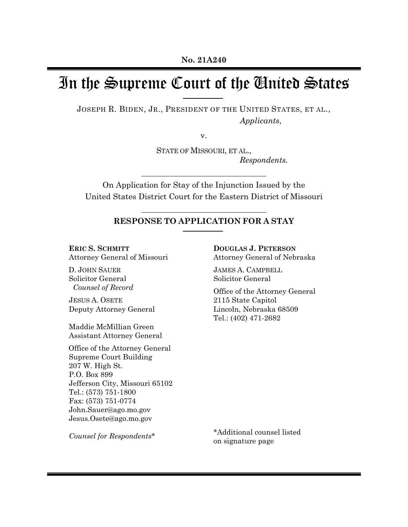# In the Supreme Court of the United States

JOSEPH R. BIDEN, JR., PRESIDENT OF THE UNITED STATES, ET AL., *Applicants*,

v.

STATE OF MISSOURI, ET AL., *Respondents.*

On Application for Stay of the Injunction Issued by the United States District Court for the Eastern District of Missouri

# **RESPONSE TO APPLICATION FOR A STAY**

**ERIC S. SCHMITT** Attorney General of Missouri

D. JOHN SAUER Solicitor General *Counsel of Record*

JESUS A. OSETE Deputy Attorney General

Maddie McMillian Green Assistant Attorney General

Office of the Attorney General Supreme Court Building 207 W. High St. P.O. Box 899 Jefferson City, Missouri 65102 Tel.: (573) 751-1800 Fax: (573) 751-0774 John.Sauer@ago.mo.gov Jesus.Osete@ago.mo.gov

**DOUGLAS J. PETERSON** Attorney General of Nebraska

JAMES A. CAMPBELL Solicitor General

Office of the Attorney General 2115 State Capitol Lincoln, Nebraska 68509 Tel.: (402) 471-2682

*Counsel for Respondents*\*

\*Additional counsel listed on signature page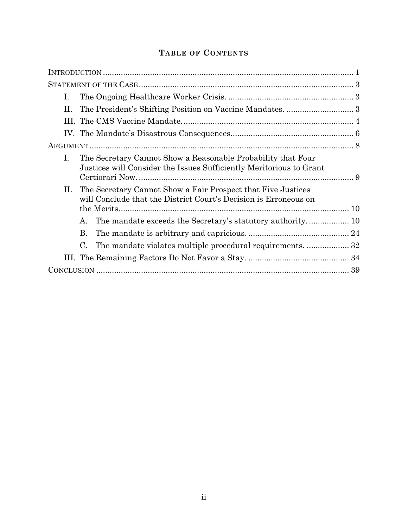# **TABLE OF CONTENTS**

| I. |                                                                                                                                     |  |
|----|-------------------------------------------------------------------------------------------------------------------------------------|--|
| П. |                                                                                                                                     |  |
|    |                                                                                                                                     |  |
|    |                                                                                                                                     |  |
|    |                                                                                                                                     |  |
| I. | The Secretary Cannot Show a Reasonable Probability that Four<br>Justices will Consider the Issues Sufficiently Meritorious to Grant |  |
| П. | The Secretary Cannot Show a Fair Prospect that Five Justices<br>will Conclude that the District Court's Decision is Erroneous on    |  |
|    |                                                                                                                                     |  |
|    | A.                                                                                                                                  |  |
|    | Β.                                                                                                                                  |  |
|    | C.                                                                                                                                  |  |
|    |                                                                                                                                     |  |
|    |                                                                                                                                     |  |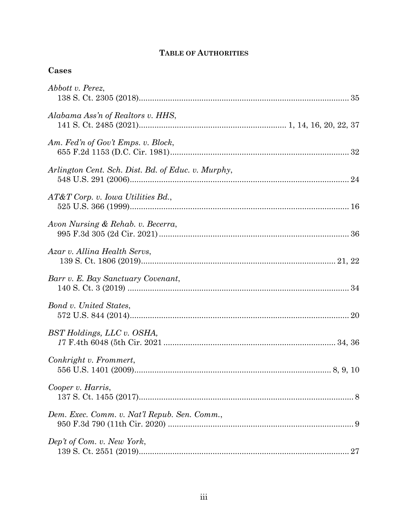# **TABLE OF AUTHORITIES**

| Abbott v. Perez,                                   |
|----------------------------------------------------|
| Alabama Ass'n of Realtors v. HHS,                  |
| Am. Fed'n of Gov't Emps. v. Block,                 |
| Arlington Cent. Sch. Dist. Bd. of Educ. v. Murphy, |
| $AT\&T$ Corp. v. Iowa Utilities Bd.,               |
| Avon Nursing & Rehab. v. Becerra,                  |
| Azar v. Allina Health Servs,                       |
| Barr v. E. Bay Sanctuary Covenant,                 |
| Bond v. United States,                             |
| BST Holdings, LLC v. OSHA,                         |
| Conkright v. Frommert,                             |
| Cooper v. Harris,                                  |
| Dem. Exec. Comm. v. Nat'l Repub. Sen. Comm.,       |
| Dep't of Com. v. New York,                         |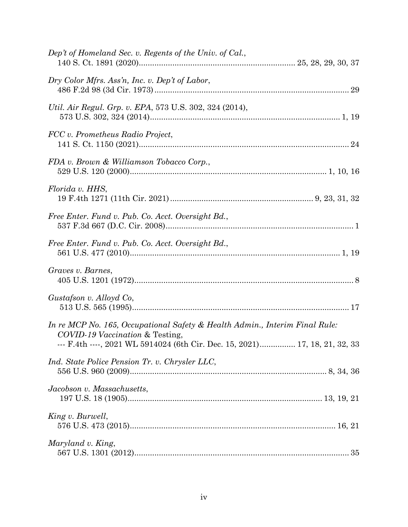| Dep't of Homeland Sec. v. Regents of the Univ. of Cal.,                                                                       |  |
|-------------------------------------------------------------------------------------------------------------------------------|--|
| Dry Color Mfrs. Ass'n, Inc. v. Dep't of Labor,                                                                                |  |
| Util. Air Regul. Grp. v. EPA, 573 U.S. 302, 324 (2014),                                                                       |  |
| FCC v. Prometheus Radio Project,                                                                                              |  |
| FDA v. Brown & Williamson Tobacco Corp.,                                                                                      |  |
| Florida v. HHS,                                                                                                               |  |
| Free Enter. Fund v. Pub. Co. Acct. Oversight Bd.,                                                                             |  |
| Free Enter. Fund v. Pub. Co. Acct. Oversight Bd.,                                                                             |  |
| Graves v. Barnes,                                                                                                             |  |
| Gustafson v. Alloyd Co,                                                                                                       |  |
| In re MCP No. 165, Occupational Safety & Health Admin., Interim Final Rule:<br>COVID-19 Vaccination & Testing,                |  |
| --- F.4th ----, 2021 WL 5914024 (6th Cir. Dec. 15, 2021) 17, 18, 21, 32, 33<br>Ind. State Police Pension Tr. v. Chrysler LLC, |  |
| Jacobson v. Massachusetts,                                                                                                    |  |
| King v. Burwell,                                                                                                              |  |
| Maryland v. King,                                                                                                             |  |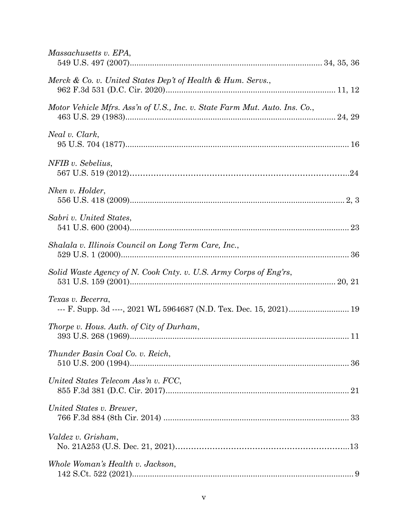| Massachusetts v. EPA,                                                      |
|----------------------------------------------------------------------------|
| Merck & Co. v. United States Dep't of Health & Hum. Servs.,                |
| Motor Vehicle Mfrs. Ass'n of U.S., Inc. v. State Farm Mut. Auto. Ins. Co., |
| Neal v. Clark,                                                             |
| NFIB v. Sebelius,                                                          |
| Nken v. Holder,                                                            |
| Sabri v. United States,                                                    |
| Shalala v. Illinois Council on Long Term Care, Inc.,                       |
| Solid Waste Agency of N. Cook Cnty. v. U.S. Army Corps of Eng'rs,          |
| Texas v. Becerra,                                                          |
| Thorpe v. Hous. Auth. of City of Durham,                                   |
| Thunder Basin Coal Co. v. Reich,                                           |
| United States Telecom Ass'n v. FCC,                                        |
| United States v. Brewer,                                                   |
| Valdez v. Grisham,                                                         |
| Whole Woman's Health v. Jackson,                                           |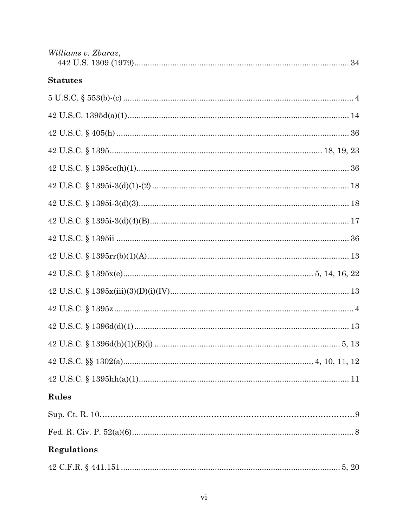| Williams v. Zbaraz, |  |
|---------------------|--|
| <b>Statutes</b>     |  |
|                     |  |
|                     |  |
|                     |  |
|                     |  |
|                     |  |
|                     |  |
|                     |  |
|                     |  |
|                     |  |
|                     |  |
|                     |  |
|                     |  |
|                     |  |
|                     |  |
|                     |  |
|                     |  |
|                     |  |
| <b>Rules</b>        |  |
|                     |  |
|                     |  |
| Regulations         |  |
|                     |  |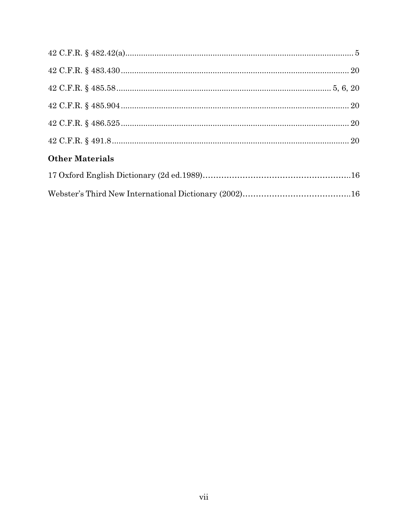| <b>Other Materials</b> |  |
|------------------------|--|
|                        |  |
|                        |  |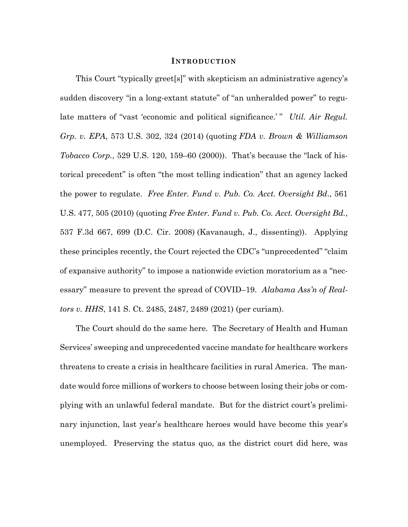#### **INTRODUCTION**

<span id="page-7-0"></span>This Court "typically greet[s]" with skepticism an administrative agency's sudden discovery "in a long-extant statute" of "an unheralded power" to regulate matters of "vast 'economic and political significance.' " *Util. Air Regul. Grp. v. EPA*, 573 U.S. 302, 324 (2014) (quoting *FDA v. Brown & Williamson Tobacco Corp.*, 529 U.S. 120, 159–60 (2000)). That's because the "lack of historical precedent" is often "the most telling indication" that an agency lacked the power to regulate. *Free Enter. Fund v. Pub. Co. Acct. Oversight Bd*., 561 U.S. 477, 505 (2010) (quoting *Free Enter. Fund v. Pub. Co. Acct. Oversight Bd.*, 537 F.3d 667, 699 (D.C. Cir. 2008) (Kavanaugh, J., dissenting)). Applying these principles recently, the Court rejected the CDC's "unprecedented" "claim of expansive authority" to impose a nationwide eviction moratorium as a "necessary" measure to prevent the spread of COVID–19. *Alabama Ass'n of Realtors v. HHS*, 141 S. Ct. 2485, 2487, 2489 (2021) (per curiam).

The Court should do the same here. The Secretary of Health and Human Services' sweeping and unprecedented vaccine mandate for healthcare workers threatens to create a crisis in healthcare facilities in rural America. The mandate would force millions of workers to choose between losing their jobs or complying with an unlawful federal mandate. But for the district court's preliminary injunction, last year's healthcare heroes would have become this year's unemployed. Preserving the status quo, as the district court did here, was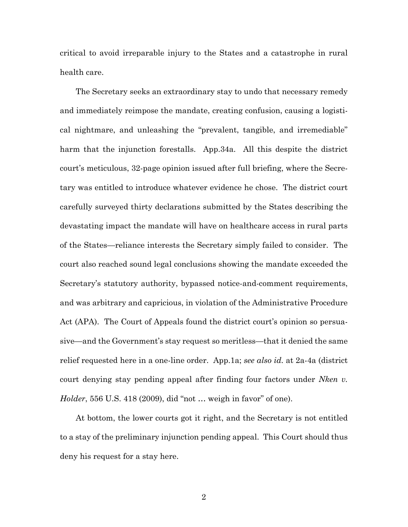critical to avoid irreparable injury to the States and a catastrophe in rural health care.

The Secretary seeks an extraordinary stay to undo that necessary remedy and immediately reimpose the mandate, creating confusion, causing a logistical nightmare, and unleashing the "prevalent, tangible, and irremediable" harm that the injunction forestalls. App.34a. All this despite the district court's meticulous, 32-page opinion issued after full briefing, where the Secretary was entitled to introduce whatever evidence he chose. The district court carefully surveyed thirty declarations submitted by the States describing the devastating impact the mandate will have on healthcare access in rural parts of the States—reliance interests the Secretary simply failed to consider. The court also reached sound legal conclusions showing the mandate exceeded the Secretary's statutory authority, bypassed notice-and-comment requirements, and was arbitrary and capricious, in violation of the Administrative Procedure Act (APA). The Court of Appeals found the district court's opinion so persuasive—and the Government's stay request so meritless—that it denied the same relief requested here in a one-line order. App.1a; *see also id.* at 2a-4a (district court denying stay pending appeal after finding four factors under *Nken v. Holder*, 556 U.S. 418 (2009), did "not … weigh in favor" of one).

At bottom, the lower courts got it right, and the Secretary is not entitled to a stay of the preliminary injunction pending appeal. This Court should thus deny his request for a stay here.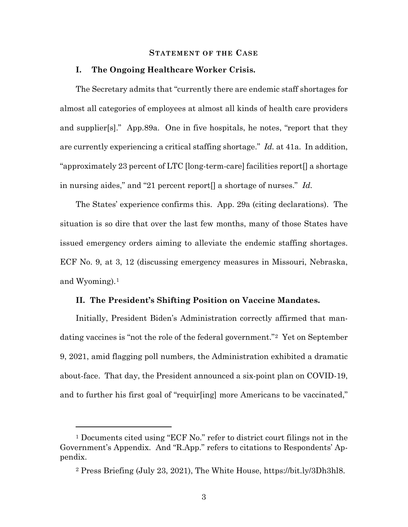#### **STATEMENT OF THE CASE**

### <span id="page-9-1"></span><span id="page-9-0"></span>**I. The Ongoing Healthcare Worker Crisis.**

The Secretary admits that "currently there are endemic staff shortages for almost all categories of employees at almost all kinds of health care providers and supplier[s]." App.89a. One in five hospitals, he notes, "report that they are currently experiencing a critical staffing shortage." *Id.* at 41a. In addition, "approximately 23 percent of LTC [long-term-care] facilities report[] a shortage in nursing aides," and "21 percent report[] a shortage of nurses." *Id.*

The States' experience confirms this. App. 29a (citing declarations). The situation is so dire that over the last few months, many of those States have issued emergency orders aiming to alleviate the endemic staffing shortages. ECF No. 9, at 3, 12 (discussing emergency measures in Missouri, Nebraska, and Wyoming).[1](#page-9-3)

## <span id="page-9-2"></span>**II. The President's Shifting Position on Vaccine Mandates.**

Initially, President Biden's Administration correctly affirmed that mandating vaccines is "not the role of the federal government."[2](#page-9-4) Yet on September 9, 2021, amid flagging poll numbers, the Administration exhibited a dramatic about-face. That day, the President announced a six-point plan on COVID-19, and to further his first goal of "requir[ing] more Americans to be vaccinated,"

<span id="page-9-4"></span><span id="page-9-3"></span><sup>1</sup> Documents cited using "ECF No." refer to district court filings not in the Government's Appendix. And "R.App." refers to citations to Respondents' Appendix.

<sup>2</sup> Press Briefing (July 23, 2021), The White House, https://bit.ly/3Dh3hl8.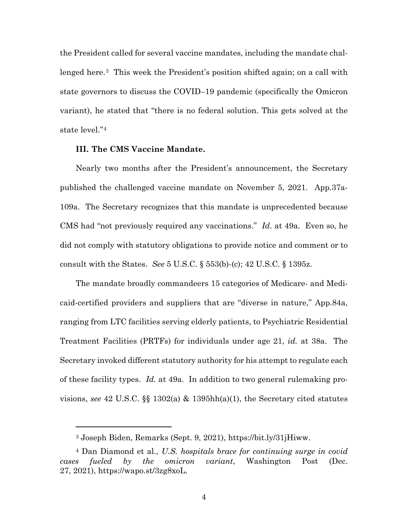the President called for several vaccine mandates, including the mandate challenged here.[3](#page-10-1) This week the President's position shifted again; on a call with state governors to discuss the COVID–19 pandemic (specifically the Omicron variant), he stated that "there is no federal solution. This gets solved at the state level."[4](#page-10-2)

#### <span id="page-10-0"></span>**III. The CMS Vaccine Mandate.**

Nearly two months after the President's announcement, the Secretary published the challenged vaccine mandate on November 5, 2021. App.37a-109a. The Secretary recognizes that this mandate is unprecedented because CMS had "not previously required any vaccinations." *Id.* at 49a. Even so, he did not comply with statutory obligations to provide notice and comment or to consult with the States. *See* 5 U.S.C. § 553(b)-(c); 42 U.S.C. § 1395z.

The mandate broadly commandeers 15 categories of Medicare- and Medicaid-certified providers and suppliers that are "diverse in nature," App.84a, ranging from LTC facilities serving elderly patients, to Psychiatric Residential Treatment Facilities (PRTFs) for individuals under age 21, *id.* at 38a. The Secretary invoked different statutory authority for his attempt to regulate each of these facility types. *Id.* at 49a. In addition to two general rulemaking provisions, *see* 42 U.S.C. §§ 1302(a) & 1395hh(a)(1), the Secretary cited statutes

<sup>3</sup> Joseph Biden, Remarks (Sept. 9, 2021), https://bit.ly/31jHiww.

<span id="page-10-2"></span><span id="page-10-1"></span><sup>4</sup> Dan Diamond et al., *U.S. hospitals brace for continuing surge in covid cases fueled by the omicron variant*, Washington Post (Dec. 27, 2021), https://wapo.st/3zg8xoL.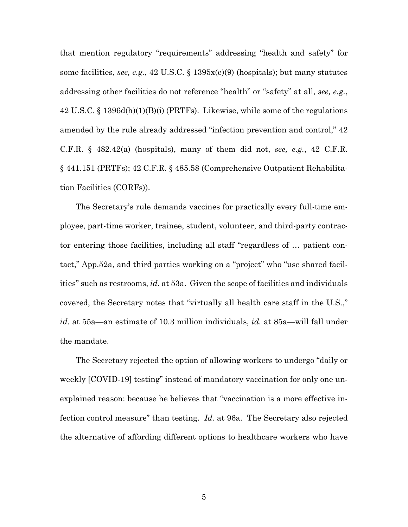that mention regulatory "requirements" addressing "health and safety" for some facilities, *see, e.g.*, 42 U.S.C. § 1395x(e)(9) (hospitals); but many statutes addressing other facilities do not reference "health" or "safety" at all, *see, e.g.*, 42 U.S.C. § 1396d(h)(1)(B)(i) (PRTFs). Likewise, while some of the regulations amended by the rule already addressed "infection prevention and control," 42 C.F.R. § 482.42(a) (hospitals), many of them did not, *see, e.g.*, 42 C.F.R. § 441.151 (PRTFs); 42 C.F.R. § 485.58 (Comprehensive Outpatient Rehabilitation Facilities (CORFs)).

The Secretary's rule demands vaccines for practically every full-time employee, part-time worker, trainee, student, volunteer, and third-party contractor entering those facilities, including all staff "regardless of … patient contact," App.52a, and third parties working on a "project" who "use shared facilities" such as restrooms, *id.* at 53a. Given the scope of facilities and individuals covered, the Secretary notes that "virtually all health care staff in the U.S.," *id.* at 55a—an estimate of 10.3 million individuals, *id.* at 85a—will fall under the mandate.

The Secretary rejected the option of allowing workers to undergo "daily or weekly [COVID-19] testing" instead of mandatory vaccination for only one unexplained reason: because he believes that "vaccination is a more effective infection control measure" than testing. *Id.* at 96a. The Secretary also rejected the alternative of affording different options to healthcare workers who have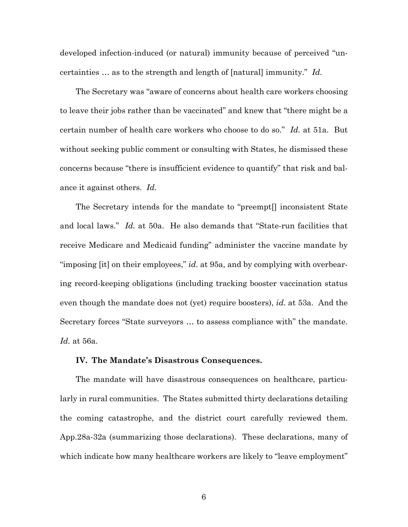developed infection-induced (or natural) immunity because of perceived "uncertainties … as to the strength and length of [natural] immunity." *Id.*

The Secretary was "aware of concerns about health care workers choosing to leave their jobs rather than be vaccinated" and knew that "there might be a certain number of health care workers who choose to do so." *Id.* at 51a. But without seeking public comment or consulting with States, he dismissed these concerns because "there is insufficient evidence to quantify" that risk and balance it against others. *Id.*

The Secretary intends for the mandate to "preempt[] inconsistent State and local laws." *Id.* at 50a. He also demands that "State-run facilities that receive Medicare and Medicaid funding" administer the vaccine mandate by "imposing [it] on their employees," *id.* at 95a, and by complying with overbearing record-keeping obligations (including tracking booster vaccination status even though the mandate does not (yet) require boosters), *id.* at 53a. And the Secretary forces "State surveyors … to assess compliance with" the mandate. *Id.* at 56a.

#### <span id="page-12-0"></span>**IV. The Mandate's Disastrous Consequences.**

The mandate will have disastrous consequences on healthcare, particularly in rural communities. The States submitted thirty declarations detailing the coming catastrophe, and the district court carefully reviewed them. App.28a-32a (summarizing those declarations). These declarations, many of which indicate how many healthcare workers are likely to "leave employment"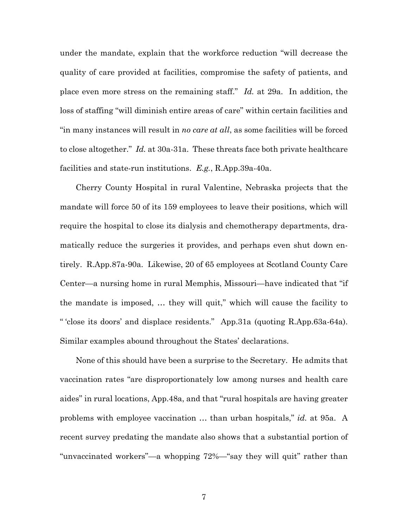under the mandate, explain that the workforce reduction "will decrease the quality of care provided at facilities, compromise the safety of patients, and place even more stress on the remaining staff." *Id.* at 29a. In addition, the loss of staffing "will diminish entire areas of care" within certain facilities and "in many instances will result in *no care at all*, as some facilities will be forced to close altogether." *Id.* at 30a-31a. These threats face both private healthcare facilities and state-run institutions. *E.g.*, R.App.39a-40a.

Cherry County Hospital in rural Valentine, Nebraska projects that the mandate will force 50 of its 159 employees to leave their positions, which will require the hospital to close its dialysis and chemotherapy departments, dramatically reduce the surgeries it provides, and perhaps even shut down entirely. R.App.87a-90a. Likewise, 20 of 65 employees at Scotland County Care Center—a nursing home in rural Memphis, Missouri—have indicated that "if the mandate is imposed, … they will quit," which will cause the facility to " 'close its doors' and displace residents." App.31a (quoting R.App.63a-64a). Similar examples abound throughout the States' declarations.

None of this should have been a surprise to the Secretary. He admits that vaccination rates "are disproportionately low among nurses and health care aides" in rural locations, App.48a, and that "rural hospitals are having greater problems with employee vaccination … than urban hospitals," *id.* at 95a. A recent survey predating the mandate also shows that a substantial portion of "unvaccinated workers"—a whopping 72%—"say they will quit" rather than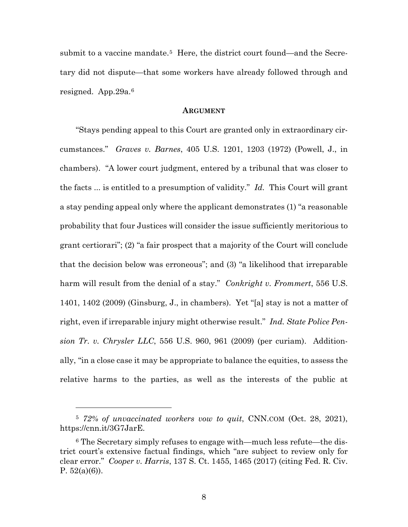submit to a vaccine mandate.<sup>5</sup> Here, the district court found—and the Secretary did not dispute—that some workers have already followed through and resigned. App.29a.[6](#page-14-2)

#### **ARGUMENT**

<span id="page-14-0"></span>"Stays pending appeal to this Court are granted only in extraordinary circumstances." *Graves v. Barnes*, 405 U.S. 1201, 1203 (1972) (Powell, J., in chambers). "A lower court judgment, entered by a tribunal that was closer to the facts ... is entitled to a presumption of validity." *Id.* This Court will grant a stay pending appeal only where the applicant demonstrates (1) "a reasonable probability that four Justices will consider the issue sufficiently meritorious to grant certiorari"; (2) "a fair prospect that a majority of the Court will conclude that the decision below was erroneous"; and (3) "a likelihood that irreparable harm will result from the denial of a stay." *Conkright v. Frommert*, 556 U.S. 1401, 1402 (2009) (Ginsburg, J., in chambers). Yet "[a] stay is not a matter of right, even if irreparable injury might otherwise result." *Ind. State Police Pension Tr. v. Chrysler LLC*, 556 U.S. 960, 961 (2009) (per curiam). Additionally, "in a close case it may be appropriate to balance the equities, to assess the relative harms to the parties, as well as the interests of the public at

<span id="page-14-1"></span><sup>5</sup> *72% of unvaccinated workers vow to quit*, CNN.COM (Oct. 28, 2021), https://cnn.it/3G7JarE.

<span id="page-14-2"></span><sup>6</sup> The Secretary simply refuses to engage with—much less refute—the district court's extensive factual findings, which "are subject to review only for clear error." *Cooper v. Harris*, 137 S. Ct. 1455, 1465 (2017) (citing Fed. R. Civ. P.  $52(a)(6)$ ).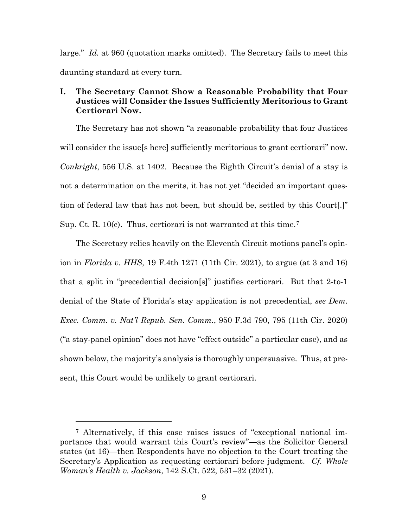large." *Id.* at 960 (quotation marks omitted). The Secretary fails to meet this daunting standard at every turn.

# <span id="page-15-0"></span>**I. The Secretary Cannot Show a Reasonable Probability that Four Justices will Consider the Issues Sufficiently Meritorious to Grant Certiorari Now.**

The Secretary has not shown "a reasonable probability that four Justices will consider the issue[s here] sufficiently meritorious to grant certiorari" now. *Conkright*, 556 U.S. at 1402. Because the Eighth Circuit's denial of a stay is not a determination on the merits, it has not yet "decided an important question of federal law that has not been, but should be, settled by this Court[.]" Sup. Ct. R. 10(c). Thus, certiorari is not warranted at this time.<sup>[7](#page-15-1)</sup>

The Secretary relies heavily on the Eleventh Circuit motions panel's opinion in *Florida v. HHS*, 19 F.4th 1271 (11th Cir. 2021), to argue (at 3 and 16) that a split in "precedential decision[s]" justifies certiorari. But that 2-to-1 denial of the State of Florida's stay application is not precedential, *see Dem. Exec. Comm. v. Nat'l Repub. Sen. Comm.*, 950 F.3d 790, 795 (11th Cir. 2020) ("a stay-panel opinion" does not have "effect outside" a particular case), and as shown below, the majority's analysis is thoroughly unpersuasive. Thus, at present, this Court would be unlikely to grant certiorari.

 $\overline{a}$ 

<span id="page-15-1"></span><sup>7</sup> Alternatively, if this case raises issues of "exceptional national importance that would warrant this Court's review"—as the Solicitor General states (at 16)—then Respondents have no objection to the Court treating the Secretary's Application as requesting certiorari before judgment. *Cf. Whole Woman's Health v. Jackson*, 142 S.Ct. 522, 531–32 (2021).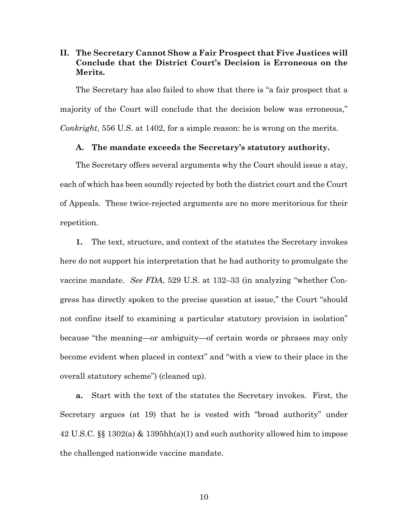# <span id="page-16-0"></span>**II. The Secretary Cannot Show a Fair Prospect that Five Justices will Conclude that the District Court's Decision is Erroneous on the Merits.**

The Secretary has also failed to show that there is "a fair prospect that a majority of the Court will conclude that the decision below was erroneous," *Conkright*, 556 U.S. at 1402, for a simple reason: he is wrong on the merits.

# <span id="page-16-1"></span>**A. The mandate exceeds the Secretary's statutory authority.**

The Secretary offers several arguments why the Court should issue a stay, each of which has been soundly rejected by both the district court and the Court of Appeals. These twice-rejected arguments are no more meritorious for their repetition.

**1.** The text, structure, and context of the statutes the Secretary invokes here do not support his interpretation that he had authority to promulgate the vaccine mandate. *See FDA*, 529 U.S. at 132–33 (in analyzing "whether Congress has directly spoken to the precise question at issue," the Court "should not confine itself to examining a particular statutory provision in isolation" because "the meaning—or ambiguity—of certain words or phrases may only become evident when placed in context" and "with a view to their place in the overall statutory scheme") (cleaned up).

**a.** Start with the text of the statutes the Secretary invokes. First, the Secretary argues (at 19) that he is vested with "broad authority" under 42 U.S.C.  $\S$  1302(a) & 1395hh(a)(1) and such authority allowed him to impose the challenged nationwide vaccine mandate.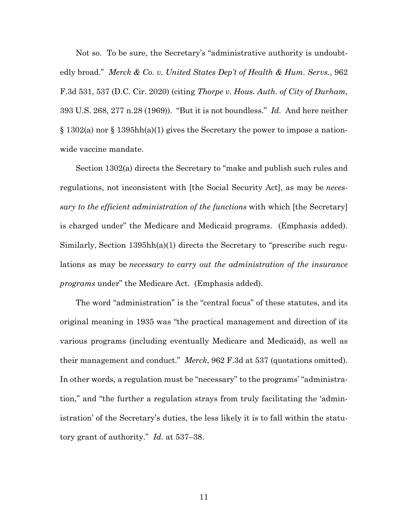Not so. To be sure, the Secretary's "administrative authority is undoubtedly broad." *Merck & Co. v. United States Dep't of Health & Hum. Servs.*, 962 F.3d 531, 537 (D.C. Cir. 2020) (citing *Thorpe v. Hous. Auth. of City of Durham*, 393 U.S. 268, 277 n.28 (1969))."But it is not boundless." *Id.* And here neither § 1302(a) nor § 1395hh(a)(1) gives the Secretary the power to impose a nationwide vaccine mandate.

Section 1302(a) directs the Secretary to "make and publish such rules and regulations, not inconsistent with [the Social Security Act], as may be *necessary to the efficient administration of the functions* with which [the Secretary] is charged under" the Medicare and Medicaid programs. (Emphasis added). Similarly, Section 1395hh(a)(1) directs the Secretary to "prescribe such regulations as may be *necessary to carry out the administration of the insurance programs* under" the Medicare Act. (Emphasis added).

The word "administration" is the "central focus" of these statutes, and its original meaning in 1935 was "the practical management and direction of its various programs (including eventually Medicare and Medicaid), as well as their management and conduct." *Merck*, 962 F.3d at 537 (quotations omitted). In other words, a regulation must be "necessary" to the programs' "administration," and "the further a regulation strays from truly facilitating the 'administration' of the Secretary's duties, the less likely it is to fall within the statutory grant of authority." *Id.* at 537–38.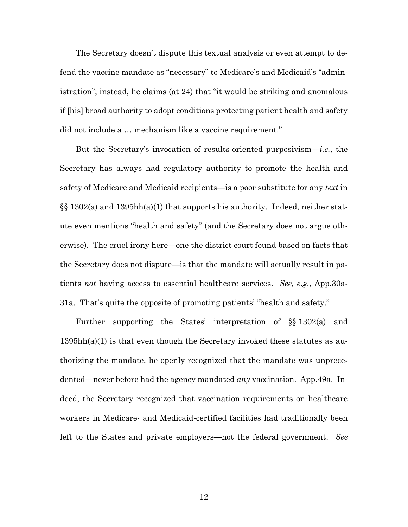The Secretary doesn't dispute this textual analysis or even attempt to defend the vaccine mandate as "necessary" to Medicare's and Medicaid's "administration"; instead, he claims (at 24) that "it would be striking and anomalous if [his] broad authority to adopt conditions protecting patient health and safety did not include a … mechanism like a vaccine requirement."

But the Secretary's invocation of results-oriented purposivism—*i.e.*, the Secretary has always had regulatory authority to promote the health and safety of Medicare and Medicaid recipients—is a poor substitute for any *text* in §§ 1302(a) and 1395hh(a)(1) that supports his authority. Indeed, neither statute even mentions "health and safety" (and the Secretary does not argue otherwise). The cruel irony here—one the district court found based on facts that the Secretary does not dispute—is that the mandate will actually result in patients *not* having access to essential healthcare services. *See, e.g.*, App.30a-31a. That's quite the opposite of promoting patients' "health and safety."

Further supporting the States' interpretation of §§ 1302(a) and 1395hh(a)(1) is that even though the Secretary invoked these statutes as authorizing the mandate, he openly recognized that the mandate was unprecedented—never before had the agency mandated *any* vaccination. App.49a. Indeed, the Secretary recognized that vaccination requirements on healthcare workers in Medicare- and Medicaid-certified facilities had traditionally been left to the States and private employers—not the federal government. *See*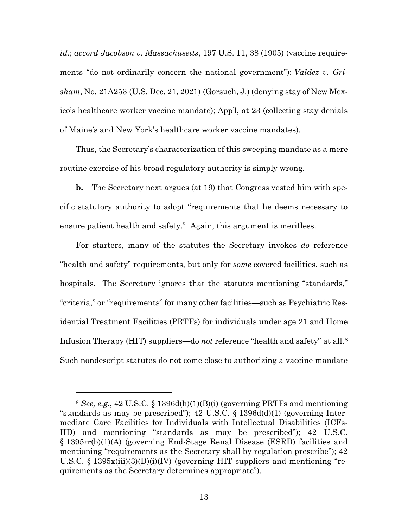*id.*; *accord Jacobson v. Massachusetts*, 197 U.S. 11, 38 (1905) (vaccine requirements "do not ordinarily concern the national government"); *Valdez v. Grisham*, No. 21A253 (U.S. Dec. 21, 2021) (Gorsuch, J.) (denying stay of New Mexico's healthcare worker vaccine mandate); App'l, at 23 (collecting stay denials of Maine's and New York's healthcare worker vaccine mandates).

Thus, the Secretary's characterization of this sweeping mandate as a mere routine exercise of his broad regulatory authority is simply wrong.

**b.** The Secretary next argues (at 19) that Congress vested him with specific statutory authority to adopt "requirements that he deems necessary to ensure patient health and safety." Again, this argument is meritless.

For starters, many of the statutes the Secretary invokes *do* reference "health and safety" requirements, but only for *some* covered facilities, such as hospitals. The Secretary ignores that the statutes mentioning "standards," "criteria," or "requirements" for many other facilities—such as Psychiatric Residential Treatment Facilities (PRTFs) for individuals under age 21 and Home Infusion Therapy (HIT) suppliers—do *not* reference "health and safety" at all.[8](#page-19-0) Such nondescript statutes do not come close to authorizing a vaccine mandate

<span id="page-19-0"></span><sup>8</sup> *See, e.g.*, 42 U.S.C. § 1396d(h)(1)(B)(i) (governing PRTFs and mentioning "standards as may be prescribed"); 42 U.S.C. § 1396d(d)(1) (governing Intermediate Care Facilities for Individuals with Intellectual Disabilities (ICFs-IID) and mentioning "standards as may be prescribed"); 42 U.S.C. § 1395rr(b)(1)(A) (governing End-Stage Renal Disease (ESRD) facilities and mentioning "requirements as the Secretary shall by regulation prescribe"); 42 U.S.C. § 1395x(iii)(3)(D)(i)(IV) (governing HIT suppliers and mentioning "requirements as the Secretary determines appropriate").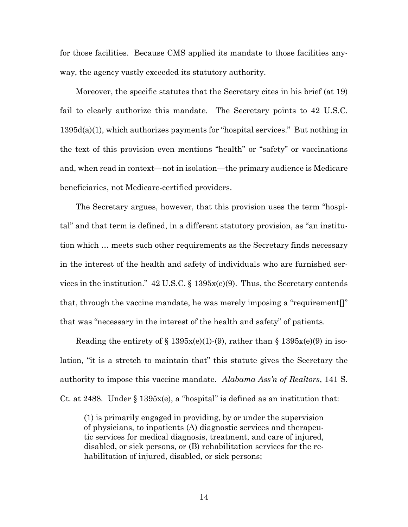for those facilities. Because CMS applied its mandate to those facilities anyway, the agency vastly exceeded its statutory authority.

Moreover, the specific statutes that the Secretary cites in his brief (at 19) fail to clearly authorize this mandate. The Secretary points to 42 U.S.C. 1395d(a)(1), which authorizes payments for "hospital services." But nothing in the text of this provision even mentions "health" or "safety" or vaccinations and, when read in context—not in isolation—the primary audience is Medicare beneficiaries, not Medicare-certified providers.

The Secretary argues, however, that this provision uses the term "hospital" and that term is defined, in a different statutory provision, as "an institution which … meets such other requirements as the Secretary finds necessary in the interest of the health and safety of individuals who are furnished services in the institution."  $42 \text{ U.S.C.}$  §  $1395x(e)(9)$ . Thus, the Secretary contends that, through the vaccine mandate, he was merely imposing a "requirement[]" that was "necessary in the interest of the health and safety" of patients.

Reading the entirety of  $\S 1395x(e)(1)-(9)$ , rather than  $\S 1395x(e)(9)$  in isolation, "it is a stretch to maintain that" this statute gives the Secretary the authority to impose this vaccine mandate. *Alabama Ass'n of Realtors*, 141 S. Ct. at 2488. Under  $\S$  1395 $x(e)$ , a "hospital" is defined as an institution that:

(1) is primarily engaged in providing, by or under the supervision of physicians, to inpatients (A) diagnostic services and therapeutic services for medical diagnosis, treatment, and care of injured, disabled, or sick persons, or (B) rehabilitation services for the rehabilitation of injured, disabled, or sick persons;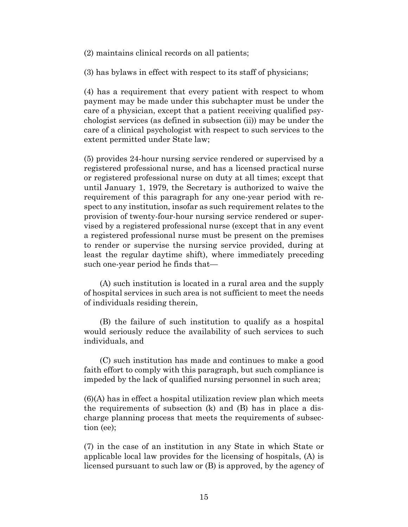(2) maintains clinical records on all patients;

(3) has bylaws in effect with respect to its staff of physicians;

(4) has a requirement that every patient with respect to whom payment may be made under this subchapter must be under the care of a physician, except that a patient receiving qualified psychologist services (as defined in subsection (ii)) may be under the care of a clinical psychologist with respect to such services to the extent permitted under State law;

(5) provides 24-hour nursing service rendered or supervised by a registered professional nurse, and has a licensed practical nurse or registered professional nurse on duty at all times; except that until January 1, 1979, the Secretary is authorized to waive the requirement of this paragraph for any one-year period with respect to any institution, insofar as such requirement relates to the provision of twenty-four-hour nursing service rendered or supervised by a registered professional nurse (except that in any event a registered professional nurse must be present on the premises to render or supervise the nursing service provided, during at least the regular daytime shift), where immediately preceding such one-year period he finds that—

(A) such institution is located in a rural area and the supply of hospital services in such area is not sufficient to meet the needs of individuals residing therein,

(B) the failure of such institution to qualify as a hospital would seriously reduce the availability of such services to such individuals, and

(C) such institution has made and continues to make a good faith effort to comply with this paragraph, but such compliance is impeded by the lack of qualified nursing personnel in such area;

(6)(A) has in effect a hospital utilization review plan which meets the requirements of subsection (k) and (B) has in place a discharge planning process that meets the requirements of subsection (ee);

(7) in the case of an institution in any State in which State or applicable local law provides for the licensing of hospitals, (A) is licensed pursuant to such law or (B) is approved, by the agency of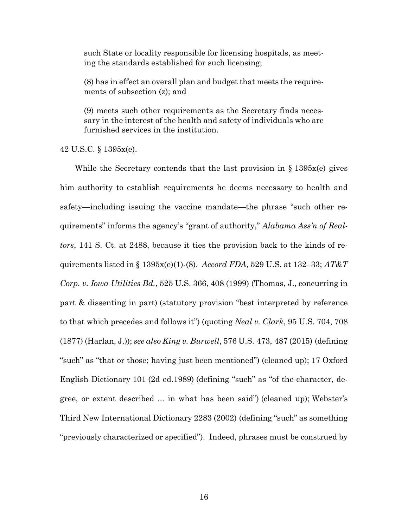such State or locality responsible for licensing hospitals, as meeting the standards established for such licensing;

(8) has in effect an overall plan and budget that meets the requirements of subsection (z); and

(9) meets such other requirements as the Secretary finds necessary in the interest of the health and safety of individuals who are furnished services in the institution.

42 U.S.C. § 1395x(e).

While the Secretary contends that the last provision in  $\S 1395x(e)$  gives him authority to establish requirements he deems necessary to health and safety—including issuing the vaccine mandate—the phrase "such other requirements" informs the agency's "grant of authority," *Alabama Ass'n of Realtors*, 141 S. Ct. at 2488, because it ties the provision back to the kinds of requirements listed in § 1395x(e)(1)-(8). *Accord FDA*, 529 U.S. at 132–33; *AT&T Corp. v. Iowa Utilities Bd.*, 525 U.S. 366, 408 (1999) (Thomas, J., concurring in part & dissenting in part) (statutory provision "best interpreted by reference to that which precedes and follows it") (quoting *Neal v. Clark*, 95 U.S. 704, 708 (1877) (Harlan, J.)); *see also King v. Burwell*, 576 U.S. 473, 487 (2015) (defining "such" as "that or those; having just been mentioned") (cleaned up); 17 Oxford English Dictionary 101 (2d ed.1989) (defining "such" as "of the character, degree, or extent described ... in what has been said") (cleaned up); Webster's Third New International Dictionary 2283 (2002) (defining "such" as something "previously characterized or specified"). Indeed, phrases must be construed by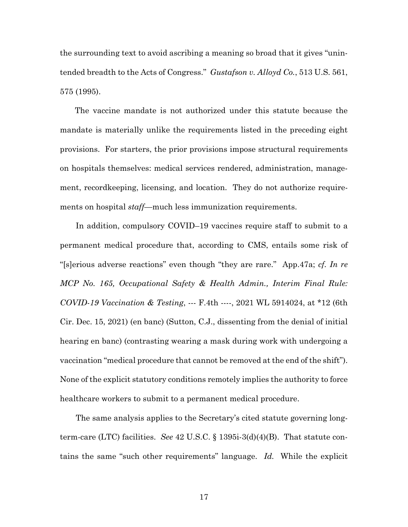the surrounding text to avoid ascribing a meaning so broad that it gives "unintended breadth to the Acts of Congress." *Gustafson v. Alloyd Co.*, 513 U.S. 561, 575 (1995).

The vaccine mandate is not authorized under this statute because the mandate is materially unlike the requirements listed in the preceding eight provisions. For starters, the prior provisions impose structural requirements on hospitals themselves: medical services rendered, administration, management, recordkeeping, licensing, and location. They do not authorize requirements on hospital *staff*—much less immunization requirements.

In addition, compulsory COVID–19 vaccines require staff to submit to a permanent medical procedure that, according to CMS, entails some risk of "[s]erious adverse reactions" even though "they are rare." App.47a; *cf. In re MCP No. 165, Occupational Safety & Health Admin., Interim Final Rule: COVID-19 Vaccination & Testing*, --- F.4th ----, 2021 WL 5914024, at \*12 (6th Cir. Dec. 15, 2021) (en banc) (Sutton, C.J., dissenting from the denial of initial hearing en banc) (contrasting wearing a mask during work with undergoing a vaccination "medical procedure that cannot be removed at the end of the shift"). None of the explicit statutory conditions remotely implies the authority to force healthcare workers to submit to a permanent medical procedure.

The same analysis applies to the Secretary's cited statute governing longterm-care (LTC) facilities. *See* 42 U.S.C. § 1395i-3(d)(4)(B). That statute contains the same "such other requirements" language. *Id.* While the explicit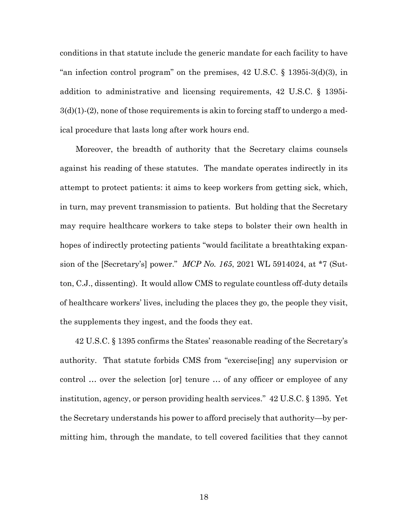conditions in that statute include the generic mandate for each facility to have "an infection control program" on the premises,  $42 \text{ U.S.C. } \S 1395\mathbf{i} \cdot 3\mathbf{d}$  $(3)$ , in addition to administrative and licensing requirements, 42 U.S.C. § 1395i- $3(d)(1)-(2)$ , none of those requirements is akin to forcing staff to undergo a medical procedure that lasts long after work hours end.

Moreover, the breadth of authority that the Secretary claims counsels against his reading of these statutes. The mandate operates indirectly in its attempt to protect patients: it aims to keep workers from getting sick, which, in turn, may prevent transmission to patients. But holding that the Secretary may require healthcare workers to take steps to bolster their own health in hopes of indirectly protecting patients "would facilitate a breathtaking expansion of the [Secretary's] power." *MCP No. 165*, 2021 WL 5914024, at \*7 (Sutton, C.J., dissenting). It would allow CMS to regulate countless off-duty details of healthcare workers' lives, including the places they go, the people they visit, the supplements they ingest, and the foods they eat.

42 U.S.C. § 1395 confirms the States' reasonable reading of the Secretary's authority. That statute forbids CMS from "exercise[ing] any supervision or control … over the selection [or] tenure … of any officer or employee of any institution, agency, or person providing health services." 42 U.S.C. § 1395. Yet the Secretary understands his power to afford precisely that authority—by permitting him, through the mandate, to tell covered facilities that they cannot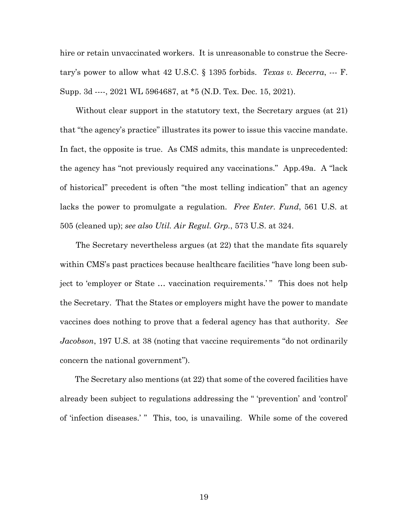hire or retain unvaccinated workers. It is unreasonable to construe the Secretary's power to allow what 42 U.S.C. § 1395 forbids. *Texas v. Becerra*, --- F. Supp. 3d ----, 2021 WL 5964687, at \*5 (N.D. Tex. Dec. 15, 2021).

Without clear support in the statutory text, the Secretary argues (at 21) that "the agency's practice" illustrates its power to issue this vaccine mandate. In fact, the opposite is true. As CMS admits, this mandate is unprecedented: the agency has "not previously required any vaccinations." App.49a. A "lack of historical" precedent is often "the most telling indication" that an agency lacks the power to promulgate a regulation. *Free Enter. Fund*, 561 U.S. at 505 (cleaned up); *see also Util. Air Regul. Grp.*, 573 U.S. at 324.

The Secretary nevertheless argues (at 22) that the mandate fits squarely within CMS's past practices because healthcare facilities "have long been subject to 'employer or State ... vaccination requirements.'" This does not help the Secretary. That the States or employers might have the power to mandate vaccines does nothing to prove that a federal agency has that authority. *See Jacobson*, 197 U.S. at 38 (noting that vaccine requirements "do not ordinarily concern the national government").

The Secretary also mentions (at 22) that some of the covered facilities have already been subject to regulations addressing the " 'prevention' and 'control' of 'infection diseases.' " This, too, is unavailing. While some of the covered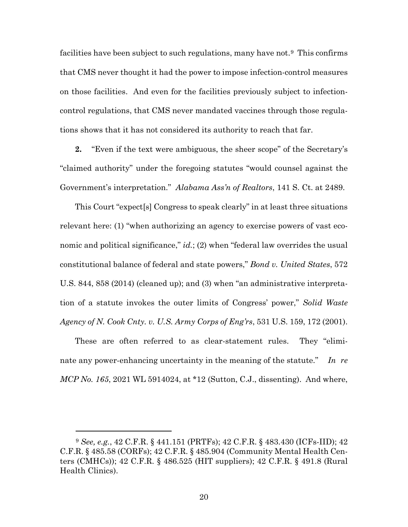facilities have been subject to such regulations, many have not.[9](#page-26-0) This confirms that CMS never thought it had the power to impose infection-control measures on those facilities. And even for the facilities previously subject to infectioncontrol regulations, that CMS never mandated vaccines through those regulations shows that it has not considered its authority to reach that far.

**2.** "Even if the text were ambiguous, the sheer scope" of the Secretary's "claimed authority" under the foregoing statutes "would counsel against the Government's interpretation." *Alabama Ass'n of Realtors*, 141 S. Ct. at 2489.

This Court "expect[s] Congress to speak clearly" in at least three situations relevant here: (1) "when authorizing an agency to exercise powers of vast economic and political significance," *id.*; (2) when "federal law overrides the usual constitutional balance of federal and state powers," *Bond v. United States*, 572 U.S. 844, 858 (2014) (cleaned up); and (3) when "an administrative interpretation of a statute invokes the outer limits of Congress' power," *Solid Waste Agency of N. Cook Cnty. v. U.S. Army Corps of Eng'rs*, 531 U.S. 159, 172 (2001).

These are often referred to as clear-statement rules. They "eliminate any power-enhancing uncertainty in the meaning of the statute." *In re MCP No. 165*, 2021 WL 5914024, at \*12 (Sutton, C.J., dissenting). And where,

<span id="page-26-0"></span><sup>9</sup> *See, e.g.*, 42 C.F.R. § 441.151 (PRTFs); 42 C.F.R. § 483.430 (ICFs-IID); 42 C.F.R. § 485.58 (CORFs); 42 C.F.R. § 485.904 (Community Mental Health Centers (CMHCs)); 42 C.F.R. § 486.525 (HIT suppliers); 42 C.F.R. § 491.8 (Rural Health Clinics).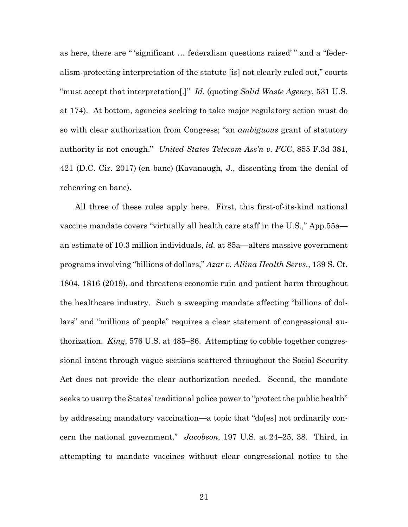as here, there are " 'significant … federalism questions raised' " and a "federalism-protecting interpretation of the statute [is] not clearly ruled out," courts "must accept that interpretation[.]" *Id.* (quoting *Solid Waste Agency*, 531 U.S. at 174). At bottom, agencies seeking to take major regulatory action must do so with clear authorization from Congress; "an *ambiguous* grant of statutory authority is not enough." *United States Telecom Ass'n v. FCC*, 855 F.3d 381, 421 (D.C. Cir. 2017) (en banc) (Kavanaugh, J., dissenting from the denial of rehearing en banc).

All three of these rules apply here. First, this first-of-its-kind national vaccine mandate covers "virtually all health care staff in the U.S.," App.55a an estimate of 10.3 million individuals, *id.* at 85a—alters massive government programs involving "billions of dollars," *Azar v. Allina Health Servs.*, 139 S. Ct. 1804, 1816 (2019), and threatens economic ruin and patient harm throughout the healthcare industry. Such a sweeping mandate affecting "billions of dollars" and "millions of people" requires a clear statement of congressional authorization. *King*, 576 U.S. at 485–86. Attempting to cobble together congressional intent through vague sections scattered throughout the Social Security Act does not provide the clear authorization needed. Second, the mandate seeks to usurp the States' traditional police power to "protect the public health" by addressing mandatory vaccination—a topic that "do[es] not ordinarily concern the national government." *Jacobson*, 197 U.S. at 24–25, 38. Third, in attempting to mandate vaccines without clear congressional notice to the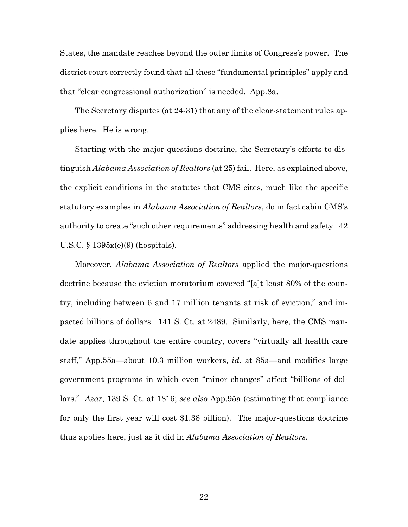States, the mandate reaches beyond the outer limits of Congress's power. The district court correctly found that all these "fundamental principles" apply and that "clear congressional authorization" is needed. App.8a.

The Secretary disputes (at 24-31) that any of the clear-statement rules applies here. He is wrong.

Starting with the major-questions doctrine, the Secretary's efforts to distinguish *Alabama Association of Realtors* (at 25) fail. Here, as explained above, the explicit conditions in the statutes that CMS cites, much like the specific statutory examples in *Alabama Association of Realtors*, do in fact cabin CMS's authority to create "such other requirements" addressing health and safety. 42 U.S.C. § 1395x(e)(9) (hospitals).

Moreover, *Alabama Association of Realtors* applied the major-questions doctrine because the eviction moratorium covered "[a]t least 80% of the country, including between 6 and 17 million tenants at risk of eviction," and impacted billions of dollars. 141 S. Ct. at 2489. Similarly, here, the CMS mandate applies throughout the entire country, covers "virtually all health care staff," App.55a—about 10.3 million workers, *id.* at 85a—and modifies large government programs in which even "minor changes" affect "billions of dollars." *Azar*, 139 S. Ct. at 1816; *see also* App.95a (estimating that compliance for only the first year will cost \$1.38 billion). The major-questions doctrine thus applies here, just as it did in *Alabama Association of Realtors*.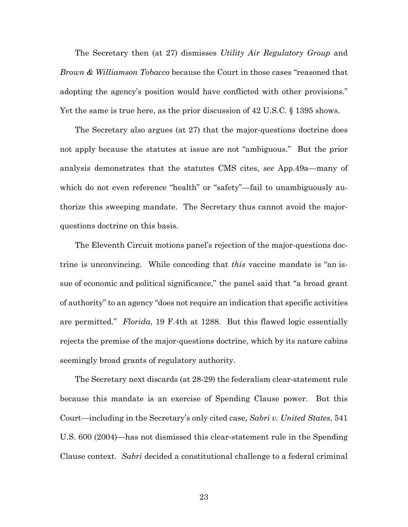The Secretary then (at 27) dismisses *Utility Air Regulatory Group* and *Brown & Williamson Tobacco* because the Court in those cases "reasoned that adopting the agency's position would have conflicted with other provisions." Yet the same is true here, as the prior discussion of 42 U.S.C. § 1395 shows.

The Secretary also argues (at 27) that the major-questions doctrine does not apply because the statutes at issue are not "ambiguous." But the prior analysis demonstrates that the statutes CMS cites, *see* App.49a—many of which do not even reference "health" or "safety"—fail to unambiguously authorize this sweeping mandate. The Secretary thus cannot avoid the majorquestions doctrine on this basis.

The Eleventh Circuit motions panel's rejection of the major-questions doctrine is unconvincing. While conceding that *this* vaccine mandate is "an issue of economic and political significance," the panel said that "a broad grant of authority" to an agency "does not require an indication that specific activities are permitted." *Florida*, 19 F.4th at 1288. But this flawed logic essentially rejects the premise of the major-questions doctrine, which by its nature cabins seemingly broad grants of regulatory authority.

The Secretary next discards (at 28-29) the federalism clear-statement rule because this mandate is an exercise of Spending Clause power. But this Court—including in the Secretary's only cited case, *Sabri v. United States*, 541 U.S. 600 (2004)—has not dismissed this clear-statement rule in the Spending Clause context. *Sabri* decided a constitutional challenge to a federal criminal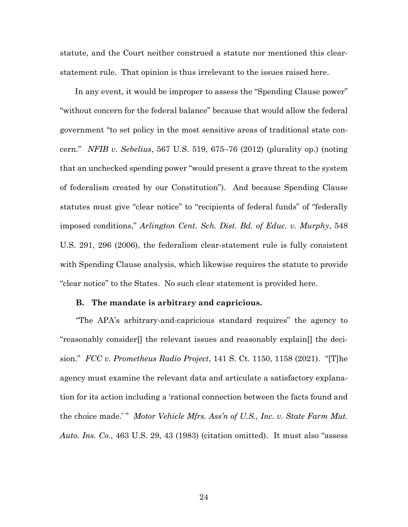statute, and the Court neither construed a statute nor mentioned this clearstatement rule. That opinion is thus irrelevant to the issues raised here.

In any event, it would be improper to assess the "Spending Clause power" "without concern for the federal balance" because that would allow the federal government "to set policy in the most sensitive areas of traditional state concern." *NFIB v. Sebelius*, 567 U.S. 519, 675–76 (2012) (plurality op.) (noting that an unchecked spending power "would present a grave threat to the system of federalism created by our Constitution"). And because Spending Clause statutes must give "clear notice" to "recipients of federal funds" of "federally imposed conditions," *Arlington Cent. Sch. Dist. Bd. of Educ. v. Murphy*, 548 U.S. 291, 296 (2006), the federalism clear-statement rule is fully consistent with Spending Clause analysis, which likewise requires the statute to provide "clear notice" to the States. No such clear statement is provided here.

#### <span id="page-30-0"></span>**B. The mandate is arbitrary and capricious.**

"The APA's arbitrary-and-capricious standard requires" the agency to "reasonably consider[] the relevant issues and reasonably explain[] the decision." *FCC v. Prometheus Radio Project*, 141 S. Ct. 1150, 1158 (2021). "[T]he agency must examine the relevant data and articulate a satisfactory explanation for its action including a 'rational connection between the facts found and the choice made.' " *Motor Vehicle Mfrs. Ass'n of U.S., Inc. v. State Farm Mut. Auto. Ins. Co.*, 463 U.S. 29, 43 (1983) (citation omitted). It must also "assess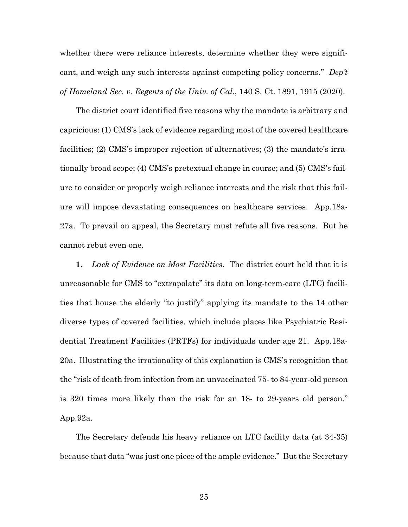whether there were reliance interests, determine whether they were significant, and weigh any such interests against competing policy concerns." *Dep't of Homeland Sec. v. Regents of the Univ. of Cal.*, 140 S. Ct. 1891, 1915 (2020).

The district court identified five reasons why the mandate is arbitrary and capricious: (1) CMS's lack of evidence regarding most of the covered healthcare facilities; (2) CMS's improper rejection of alternatives; (3) the mandate's irrationally broad scope; (4) CMS's pretextual change in course; and (5) CMS's failure to consider or properly weigh reliance interests and the risk that this failure will impose devastating consequences on healthcare services. App.18a-27a. To prevail on appeal, the Secretary must refute all five reasons. But he cannot rebut even one.

**1.** *Lack of Evidence on Most Facilities.* The district court held that it is unreasonable for CMS to "extrapolate" its data on long-term-care (LTC) facilities that house the elderly "to justify" applying its mandate to the 14 other diverse types of covered facilities, which include places like Psychiatric Residential Treatment Facilities (PRTFs) for individuals under age 21. App.18a-20a. Illustrating the irrationality of this explanation is CMS's recognition that the "risk of death from infection from an unvaccinated 75- to 84-year-old person is 320 times more likely than the risk for an 18- to 29-years old person." App.92a.

The Secretary defends his heavy reliance on LTC facility data (at 34-35) because that data "was just one piece of the ample evidence." But the Secretary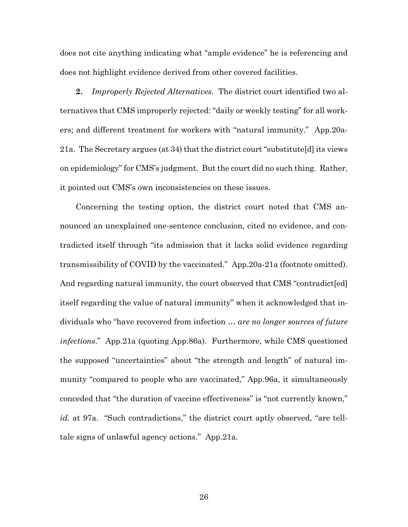does not cite anything indicating what "ample evidence" he is referencing and does not highlight evidence derived from other covered facilities.

**2.** *Improperly Rejected Alternatives.* The district court identified two alternatives that CMS improperly rejected: "daily or weekly testing" for all workers; and different treatment for workers with "natural immunity." App.20a-21a. The Secretary argues (at 34) that the district court "substitute[d] its views on epidemiology" for CMS's judgment. But the court did no such thing. Rather, it pointed out CMS's own inconsistencies on these issues.

Concerning the testing option, the district court noted that CMS announced an unexplained one-sentence conclusion, cited no evidence, and contradicted itself through "its admission that it lacks solid evidence regarding transmissibility of COVID by the vaccinated." App.20a-21a (footnote omitted). And regarding natural immunity, the court observed that CMS "contradict[ed] itself regarding the value of natural immunity" when it acknowledged that individuals who "have recovered from infection … *are no longer sources of future infections*." App.21a (quoting App.86a). Furthermore, while CMS questioned the supposed "uncertainties" about "the strength and length" of natural immunity "compared to people who are vaccinated," App.96a, it simultaneously conceded that "the duration of vaccine effectiveness" is "not currently known," *id.* at 97a. "Such contradictions," the district court aptly observed, "are telltale signs of unlawful agency actions." App.21a.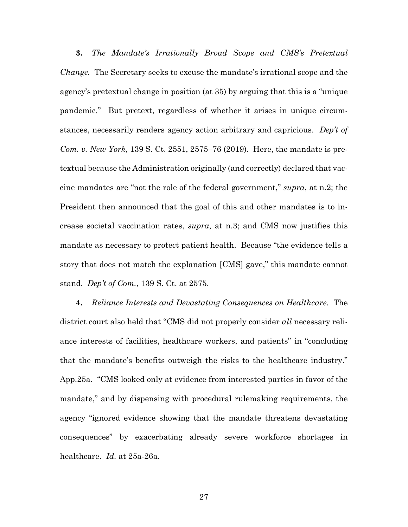**3.** *The Mandate's Irrationally Broad Scope and CMS's Pretextual Change.* The Secretary seeks to excuse the mandate's irrational scope and the agency's pretextual change in position (at 35) by arguing that this is a "unique pandemic." But pretext, regardless of whether it arises in unique circumstances, necessarily renders agency action arbitrary and capricious. *Dep't of Com. v. New York*, 139 S. Ct. 2551, 2575–76 (2019). Here, the mandate is pretextual because the Administration originally (and correctly) declared that vaccine mandates are "not the role of the federal government," *supra*, at n.2; the President then announced that the goal of this and other mandates is to increase societal vaccination rates, *supra*, at n.3; and CMS now justifies this mandate as necessary to protect patient health. Because "the evidence tells a story that does not match the explanation [CMS] gave," this mandate cannot stand. *Dep't of Com.*, 139 S. Ct. at 2575.

**4.** *Reliance Interests and Devastating Consequences on Healthcare.* The district court also held that "CMS did not properly consider *all* necessary reliance interests of facilities, healthcare workers, and patients" in "concluding that the mandate's benefits outweigh the risks to the healthcare industry." App.25a. "CMS looked only at evidence from interested parties in favor of the mandate," and by dispensing with procedural rulemaking requirements, the agency "ignored evidence showing that the mandate threatens devastating consequences" by exacerbating already severe workforce shortages in healthcare. *Id.* at 25a-26a.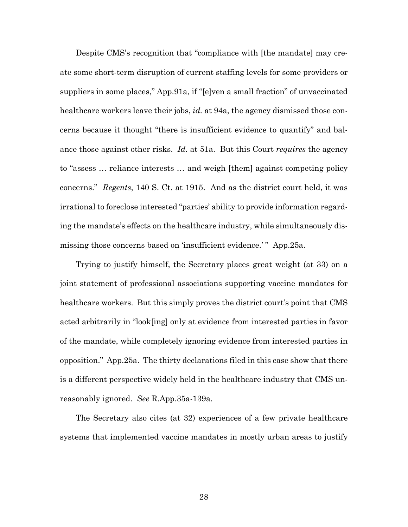Despite CMS's recognition that "compliance with [the mandate] may create some short-term disruption of current staffing levels for some providers or suppliers in some places," App.91a, if "[e]ven a small fraction" of unvaccinated healthcare workers leave their jobs, *id.* at 94a, the agency dismissed those concerns because it thought "there is insufficient evidence to quantify" and balance those against other risks. *Id.* at 51a. But this Court *requires* the agency to "assess … reliance interests … and weigh [them] against competing policy concerns." *Regents*, 140 S. Ct. at 1915. And as the district court held, it was irrational to foreclose interested "parties' ability to provide information regarding the mandate's effects on the healthcare industry, while simultaneously dismissing those concerns based on 'insufficient evidence.' "App.25a.

Trying to justify himself, the Secretary places great weight (at 33) on a joint statement of professional associations supporting vaccine mandates for healthcare workers. But this simply proves the district court's point that CMS acted arbitrarily in "look[ing] only at evidence from interested parties in favor of the mandate, while completely ignoring evidence from interested parties in opposition." App.25a. The thirty declarations filed in this case show that there is a different perspective widely held in the healthcare industry that CMS unreasonably ignored. *See* R.App.35a-139a.

The Secretary also cites (at 32) experiences of a few private healthcare systems that implemented vaccine mandates in mostly urban areas to justify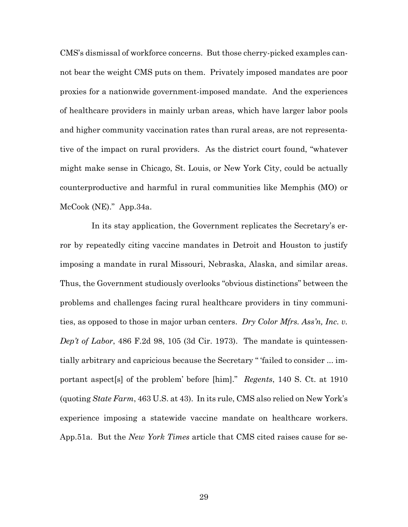CMS's dismissal of workforce concerns. But those cherry-picked examples cannot bear the weight CMS puts on them. Privately imposed mandates are poor proxies for a nationwide government-imposed mandate. And the experiences of healthcare providers in mainly urban areas, which have larger labor pools and higher community vaccination rates than rural areas, are not representative of the impact on rural providers. As the district court found, "whatever might make sense in Chicago, St. Louis, or New York City, could be actually counterproductive and harmful in rural communities like Memphis (MO) or McCook (NE)." App.34a.

In its stay application, the Government replicates the Secretary's error by repeatedly citing vaccine mandates in Detroit and Houston to justify imposing a mandate in rural Missouri, Nebraska, Alaska, and similar areas. Thus, the Government studiously overlooks "obvious distinctions" between the problems and challenges facing rural healthcare providers in tiny communities, as opposed to those in major urban centers. *Dry Color Mfrs. Ass'n, Inc. v. Dep't of Labor*, 486 F.2d 98, 105 (3d Cir. 1973). The mandate is quintessentially arbitrary and capricious because the Secretary " 'failed to consider ... important aspect[s] of the problem' before [him]." *Regents*, 140 S. Ct. at 1910 (quoting *State Farm*, 463 U.S. at 43). In its rule, CMS also relied on New York's experience imposing a statewide vaccine mandate on healthcare workers. App.51a. But the *New York Times* article that CMS cited raises cause for se-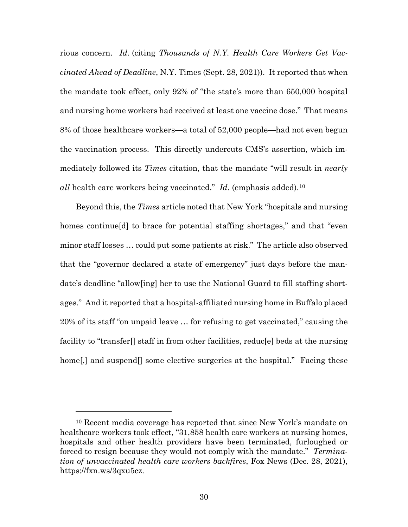rious concern. *Id.* (citing *Thousands of N.Y. Health Care Workers Get Vaccinated Ahead of Deadline*, N.Y. Times (Sept. 28, 2021)). It reported that when the mandate took effect, only 92% of "the state's more than 650,000 hospital and nursing home workers had received at least one vaccine dose." That means 8% of those healthcare workers—a total of 52,000 people—had not even begun the vaccination process. This directly undercuts CMS's assertion, which immediately followed its *Times* citation, that the mandate "will result in *nearly all* health care workers being vaccinated." *Id.* (emphasis added).[10](#page-36-0)

Beyond this, the *Times* article noted that New York "hospitals and nursing homes continue[d] to brace for potential staffing shortages," and that "even minor staff losses … could put some patients at risk." The article also observed that the "governor declared a state of emergency" just days before the mandate's deadline "allow[ing] her to use the National Guard to fill staffing shortages." And it reported that a hospital-affiliated nursing home in Buffalo placed 20% of its staff "on unpaid leave … for refusing to get vaccinated," causing the facility to "transfer[] staff in from other facilities, reduc[e] beds at the nursing home[,] and suspend[] some elective surgeries at the hospital." Facing these

<span id="page-36-0"></span><sup>10</sup> Recent media coverage has reported that since New York's mandate on healthcare workers took effect, "31,858 health care workers at nursing homes, hospitals and other health providers have been terminated, furloughed or forced to resign because they would not comply with the mandate." *Termination of unvaccinated health care workers backfires*, Fox News (Dec. 28, 2021), https://fxn.ws/3qxu5cz.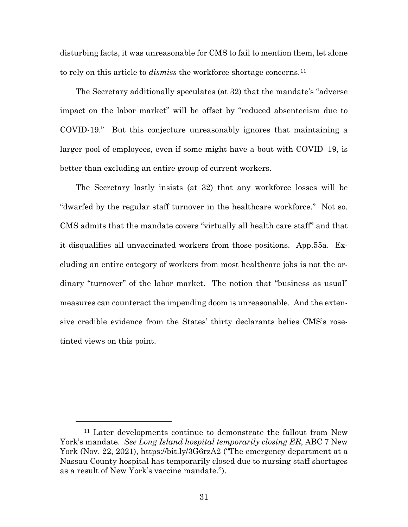disturbing facts, it was unreasonable for CMS to fail to mention them, let alone to rely on this article to *dismiss* the workforce shortage concerns.<sup>[11](#page-37-0)</sup>

The Secretary additionally speculates (at 32) that the mandate's "adverse impact on the labor market" will be offset by "reduced absenteeism due to COVID-19." But this conjecture unreasonably ignores that maintaining a larger pool of employees, even if some might have a bout with COVID–19, is better than excluding an entire group of current workers.

The Secretary lastly insists (at 32) that any workforce losses will be "dwarfed by the regular staff turnover in the healthcare workforce." Not so. CMS admits that the mandate covers "virtually all health care staff" and that it disqualifies all unvaccinated workers from those positions. App.55a. Excluding an entire category of workers from most healthcare jobs is not the ordinary "turnover" of the labor market. The notion that "business as usual" measures can counteract the impending doom is unreasonable. And the extensive credible evidence from the States' thirty declarants belies CMS's rosetinted views on this point.

 $\overline{a}$ 

<span id="page-37-0"></span><sup>11</sup> Later developments continue to demonstrate the fallout from New York's mandate. *See Long Island hospital temporarily closing ER*, ABC 7 New York (Nov. 22, 2021), https://bit.ly/3G6rzA2 ("The emergency department at a Nassau County hospital has temporarily closed due to nursing staff shortages as a result of New York's vaccine mandate.").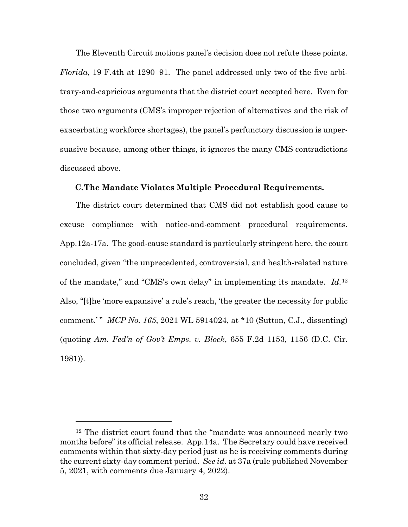The Eleventh Circuit motions panel's decision does not refute these points. *Florida*, 19 F.4th at 1290–91. The panel addressed only two of the five arbitrary-and-capricious arguments that the district court accepted here. Even for those two arguments (CMS's improper rejection of alternatives and the risk of exacerbating workforce shortages), the panel's perfunctory discussion is unpersuasive because, among other things, it ignores the many CMS contradictions discussed above.

## <span id="page-38-0"></span>**C.The Mandate Violates Multiple Procedural Requirements.**

The district court determined that CMS did not establish good cause to excuse compliance with notice-and-comment procedural requirements. App.12a-17a. The good-cause standard is particularly stringent here, the court concluded, given "the unprecedented, controversial, and health-related nature of the mandate," and "CMS's own delay" in implementing its mandate. *Id.*[12](#page-38-1) Also, "[t]he 'more expansive' a rule's reach, 'the greater the necessity for public comment.'" *MCP No. 165*, 2021 WL 5914024, at \*10 (Sutton, C.J., dissenting) (quoting *Am. Fed'n of Gov't Emps. v. Block*, 655 F.2d 1153, 1156 (D.C. Cir. 1981)).

 $\overline{a}$ 

<span id="page-38-1"></span><sup>12</sup> The district court found that the "mandate was announced nearly two months before" its official release. App.14a. The Secretary could have received comments within that sixty-day period just as he is receiving comments during the current sixty-day comment period. *See id.* at 37a (rule published November 5, 2021, with comments due January 4, 2022).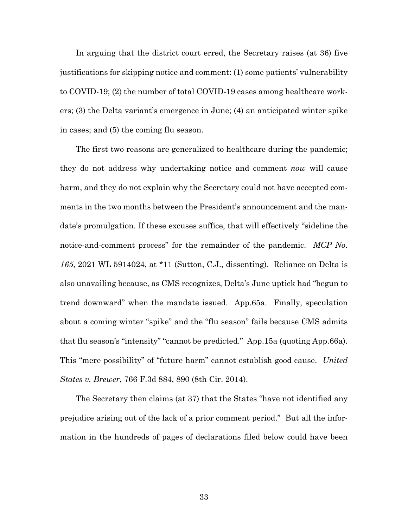In arguing that the district court erred, the Secretary raises (at 36) five justifications for skipping notice and comment: (1) some patients' vulnerability to COVID-19; (2) the number of total COVID-19 cases among healthcare workers; (3) the Delta variant's emergence in June; (4) an anticipated winter spike in cases; and (5) the coming flu season.

The first two reasons are generalized to healthcare during the pandemic; they do not address why undertaking notice and comment *now* will cause harm, and they do not explain why the Secretary could not have accepted comments in the two months between the President's announcement and the mandate's promulgation. If these excuses suffice, that will effectively "sideline the notice-and-comment process" for the remainder of the pandemic. *MCP No. 165*, 2021 WL 5914024, at \*11 (Sutton, C.J., dissenting). Reliance on Delta is also unavailing because, as CMS recognizes, Delta's June uptick had "begun to trend downward" when the mandate issued. App.65a. Finally, speculation about a coming winter "spike" and the "flu season" fails because CMS admits that flu season's "intensity" "cannot be predicted." App.15a (quoting App.66a). This "mere possibility" of "future harm" cannot establish good cause. *United States v. Brewer*, 766 F.3d 884, 890 (8th Cir. 2014).

The Secretary then claims (at 37) that the States "have not identified any prejudice arising out of the lack of a prior comment period." But all the information in the hundreds of pages of declarations filed below could have been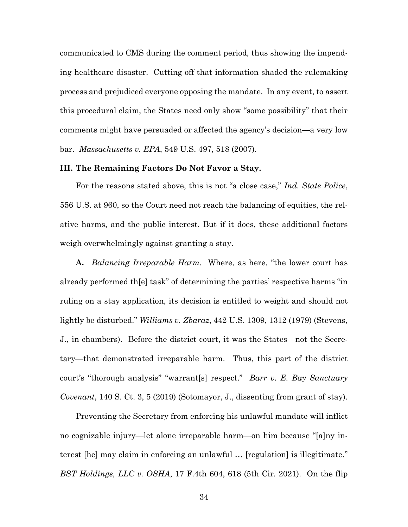communicated to CMS during the comment period, thus showing the impending healthcare disaster. Cutting off that information shaded the rulemaking process and prejudiced everyone opposing the mandate. In any event, to assert this procedural claim, the States need only show "some possibility" that their comments might have persuaded or affected the agency's decision—a very low bar. *Massachusetts v. EPA*, 549 U.S. 497, 518 (2007).

#### <span id="page-40-0"></span>**III. The Remaining Factors Do Not Favor a Stay.**

For the reasons stated above, this is not "a close case," *Ind. State Police*, 556 U.S. at 960, so the Court need not reach the balancing of equities, the relative harms, and the public interest. But if it does, these additional factors weigh overwhelmingly against granting a stay.

**A.** *Balancing Irreparable Harm.* Where, as here, "the lower court has already performed th[e] task" of determining the parties' respective harms "in ruling on a stay application, its decision is entitled to weight and should not lightly be disturbed." *Williams v. Zbaraz*, 442 U.S. 1309, 1312 (1979) (Stevens, J., in chambers). Before the district court, it was the States—not the Secretary—that demonstrated irreparable harm. Thus, this part of the district court's "thorough analysis" "warrant[s] respect." *Barr v. E. Bay Sanctuary Covenant*, 140 S. Ct. 3, 5 (2019) (Sotomayor, J., dissenting from grant of stay).

Preventing the Secretary from enforcing his unlawful mandate will inflict no cognizable injury—let alone irreparable harm—on him because "[a]ny interest [he] may claim in enforcing an unlawful … [regulation] is illegitimate." *BST Holdings, LLC v. OSHA*, 17 F.4th 604, 618 (5th Cir. 2021). On the flip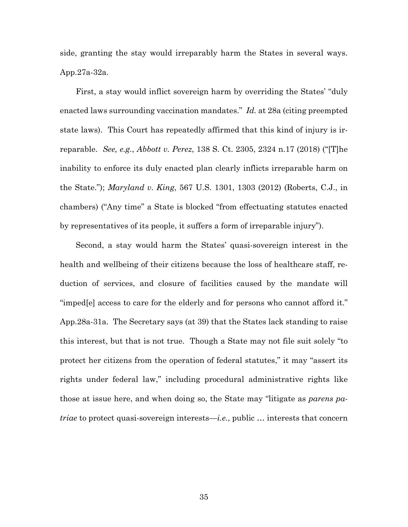side, granting the stay would irreparably harm the States in several ways. App.27a-32a.

First, a stay would inflict sovereign harm by overriding the States' "duly enacted laws surrounding vaccination mandates." *Id.* at 28a (citing preempted state laws). This Court has repeatedly affirmed that this kind of injury is irreparable. *See, e.g.*, *Abbott v. Perez*, 138 S. Ct. 2305, 2324 n.17 (2018) ("[T]he inability to enforce its duly enacted plan clearly inflicts irreparable harm on the State."); *Maryland v. King*, 567 U.S. 1301, 1303 (2012) (Roberts, C.J., in chambers) ("Any time" a State is blocked "from effectuating statutes enacted by representatives of its people, it suffers a form of irreparable injury").

Second, a stay would harm the States' quasi-sovereign interest in the health and wellbeing of their citizens because the loss of healthcare staff, reduction of services, and closure of facilities caused by the mandate will "imped[e] access to care for the elderly and for persons who cannot afford it." App.28a-31a. The Secretary says (at 39) that the States lack standing to raise this interest, but that is not true. Though a State may not file suit solely "to protect her citizens from the operation of federal statutes," it may "assert its rights under federal law," including procedural administrative rights like those at issue here, and when doing so, the State may "litigate as *parens patriae* to protect quasi-sovereign interests—*i.e.*, public … interests that concern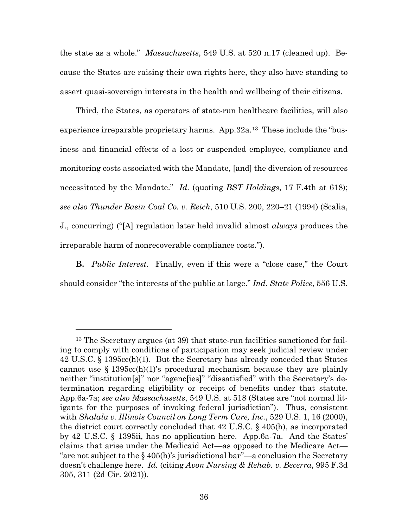the state as a whole." *Massachusetts*, 549 U.S. at 520 n.17 (cleaned up). Because the States are raising their own rights here, they also have standing to assert quasi-sovereign interests in the health and wellbeing of their citizens.

Third, the States, as operators of state-run healthcare facilities, will also experience irreparable proprietary harms. App. 32a.<sup>[13](#page-42-0)</sup> These include the "business and financial effects of a lost or suspended employee, compliance and monitoring costs associated with the Mandate, [and] the diversion of resources necessitated by the Mandate." *Id.* (quoting *BST Holdings*, 17 F.4th at 618); *see also Thunder Basin Coal Co. v. Reich*, 510 U.S. 200, 220–21 (1994) (Scalia, J., concurring) ("[A] regulation later held invalid almost *always* produces the irreparable harm of nonrecoverable compliance costs.").

**B.** *Public Interest.* Finally, even if this were a "close case," the Court should consider "the interests of the public at large." *Ind. State Police*, 556 U.S.

 $\overline{a}$ 

<span id="page-42-0"></span><sup>13</sup> The Secretary argues (at 39) that state-run facilities sanctioned for failing to comply with conditions of participation may seek judicial review under 42 U.S.C. § 1395cc(h)(1). But the Secretary has already conceded that States cannot use  $\S 1395cc(h)(1)$ 's procedural mechanism because they are plainly neither "institution[s]" nor "agenc[ies]" "dissatisfied" with the Secretary's determination regarding eligibility or receipt of benefits under that statute. App.6a-7a; *see also Massachusetts*, 549 U.S. at 518 (States are "not normal litigants for the purposes of invoking federal jurisdiction"). Thus, consistent with *Shalala v. Illinois Council on Long Term Care, Inc.*, 529 U.S. 1, 16 (2000), the district court correctly concluded that 42 U.S.C. § 405(h), as incorporated by 42 U.S.C. § 1395ii, has no application here. App.6a-7a. And the States' claims that arise under the Medicaid Act—as opposed to the Medicare Act— "are not subject to the  $\S 405(h)$ 's jurisdictional bar"—a conclusion the Secretary doesn't challenge here. *Id.* (citing *Avon Nursing & Rehab. v. Becerra*, 995 F.3d 305, 311 (2d Cir. 2021)).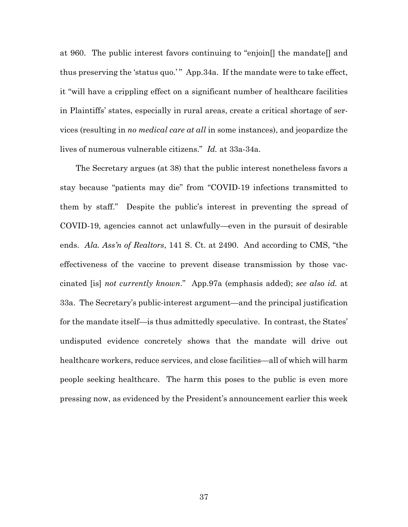at 960. The public interest favors continuing to "enjoin[] the mandate[] and thus preserving the 'status quo.'" App.34a. If the mandate were to take effect, it "will have a crippling effect on a significant number of healthcare facilities in Plaintiffs' states, especially in rural areas, create a critical shortage of services (resulting in *no medical care at all* in some instances), and jeopardize the lives of numerous vulnerable citizens." *Id.* at 33a-34a.

The Secretary argues (at 38) that the public interest nonetheless favors a stay because "patients may die" from "COVID-19 infections transmitted to them by staff." Despite the public's interest in preventing the spread of COVID-19, agencies cannot act unlawfully—even in the pursuit of desirable ends. *Ala. Ass'n of Realtors*, 141 S. Ct. at 2490. And according to CMS, "the effectiveness of the vaccine to prevent disease transmission by those vaccinated [is] *not currently known*." App.97a (emphasis added); *see also id.* at 33a. The Secretary's public-interest argument—and the principal justification for the mandate itself—is thus admittedly speculative. In contrast, the States' undisputed evidence concretely shows that the mandate will drive out healthcare workers, reduce services, and close facilities—all of which will harm people seeking healthcare. The harm this poses to the public is even more pressing now, as evidenced by the President's announcement earlier this week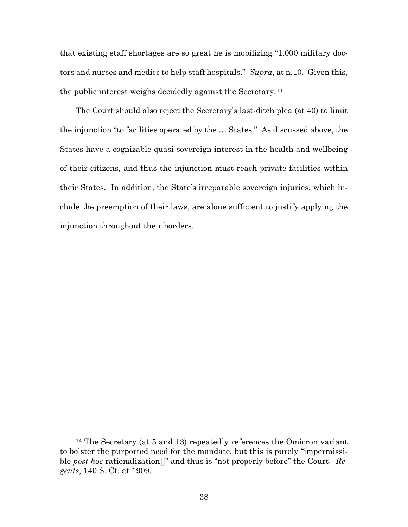that existing staff shortages are so great he is mobilizing "1,000 military doctors and nurses and medics to help staff hospitals." *Supra*, at n.10. Given this, the public interest weighs decidedly against the Secretary.[14](#page-44-0)

The Court should also reject the Secretary's last-ditch plea (at 40) to limit the injunction "to facilities operated by the … States." As discussed above, the States have a cognizable quasi-sovereign interest in the health and wellbeing of their citizens, and thus the injunction must reach private facilities within their States. In addition, the State's irreparable sovereign injuries, which include the preemption of their laws, are alone sufficient to justify applying the injunction throughout their borders.

<span id="page-44-0"></span><sup>14</sup> The Secretary (at 5 and 13) repeatedly references the Omicron variant to bolster the purported need for the mandate, but this is purely "impermissible *post hoc* rationalization[]" and thus is "not properly before" the Court. *Regents*, 140 S. Ct. at 1909.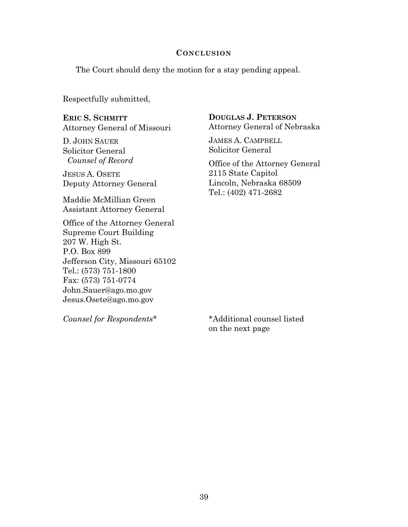#### **CONCLUSION**

<span id="page-45-0"></span>The Court should deny the motion for a stay pending appeal.

Respectfully submitted,

# **ERIC S. SCHMITT**

Attorney General of Missouri

D. JOHN SAUER Solicitor General *Counsel of Record*

JESUS A. OSETE Deputy Attorney General

Maddie McMillian Green Assistant Attorney General

Office of the Attorney General Supreme Court Building 207 W. High St. P.O. Box 899 Jefferson City, Missouri 65102 Tel.: (573) 751-1800 Fax: (573) 751-0774 John.Sauer@ago.mo.gov Jesus.Osete@ago.mo.gov

*Counsel for Respondents*\*

# **DOUGLAS J. PETERSON**

Attorney General of Nebraska

JAMES A. CAMPBELL Solicitor General

Office of the Attorney General 2115 State Capitol Lincoln, Nebraska 68509 Tel.: (402) 471-2682

\*Additional counsel listed on the next page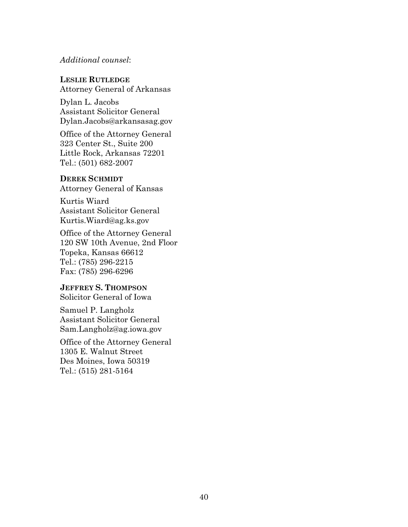# *Additional counsel*:

**LESLIE RUTLEDGE** Attorney General of Arkansas

Dylan L. Jacobs Assistant Solicitor General Dylan.Jacobs@arkansasag.gov

Office of the Attorney General 323 Center St., Suite 200 Little Rock, Arkansas 72201 Tel.: (501) 682-2007

## **DEREK SCHMIDT**

Attorney General of Kansas

Kurtis Wiard Assistant Solicitor General Kurtis.Wiard@ag.ks.gov

Office of the Attorney General 120 SW 10th Avenue, 2nd Floor Topeka, Kansas 66612 Tel.: (785) 296-2215 Fax: (785) 296-6296

# **JEFFREY S. THOMPSON**

Solicitor General of Iowa

Samuel P. Langholz Assistant Solicitor General Sam.Langholz@ag.iowa.gov

Office of the Attorney General 1305 E. Walnut Street Des Moines, Iowa 50319 Tel.: (515) 281-5164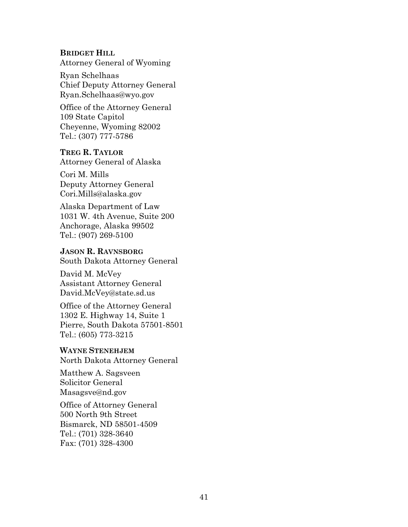#### **BRIDGET HILL**

Attorney General of Wyoming

Ryan Schelhaas Chief Deputy Attorney General Ryan.Schelhaas@wyo.gov

Office of the Attorney General 109 State Capitol Cheyenne, Wyoming 82002 Tel.: (307) 777-5786

# **TREG R. TAYLOR**

Attorney General of Alaska

Cori M. Mills Deputy Attorney General Cori.Mills@alaska.gov

Alaska Department of Law 1031 W. 4th Avenue, Suite 200 Anchorage, Alaska 99502 Tel.: (907) 269-5100

#### **JASON R. RAVNSBORG**

South Dakota Attorney General

David M. McVey Assistant Attorney General David.McVey@state.sd.us

Office of the Attorney General 1302 E. Highway 14, Suite 1 Pierre, South Dakota 57501-8501 Tel.: (605) 773-3215

# **WAYNE STENEHJEM**

North Dakota Attorney General

Matthew A. Sagsveen Solicitor General Masagsve@nd.gov

Office of Attorney General 500 North 9th Street Bismarck, ND 58501-4509 Tel.: (701) 328-3640 Fax: (701) 328-4300